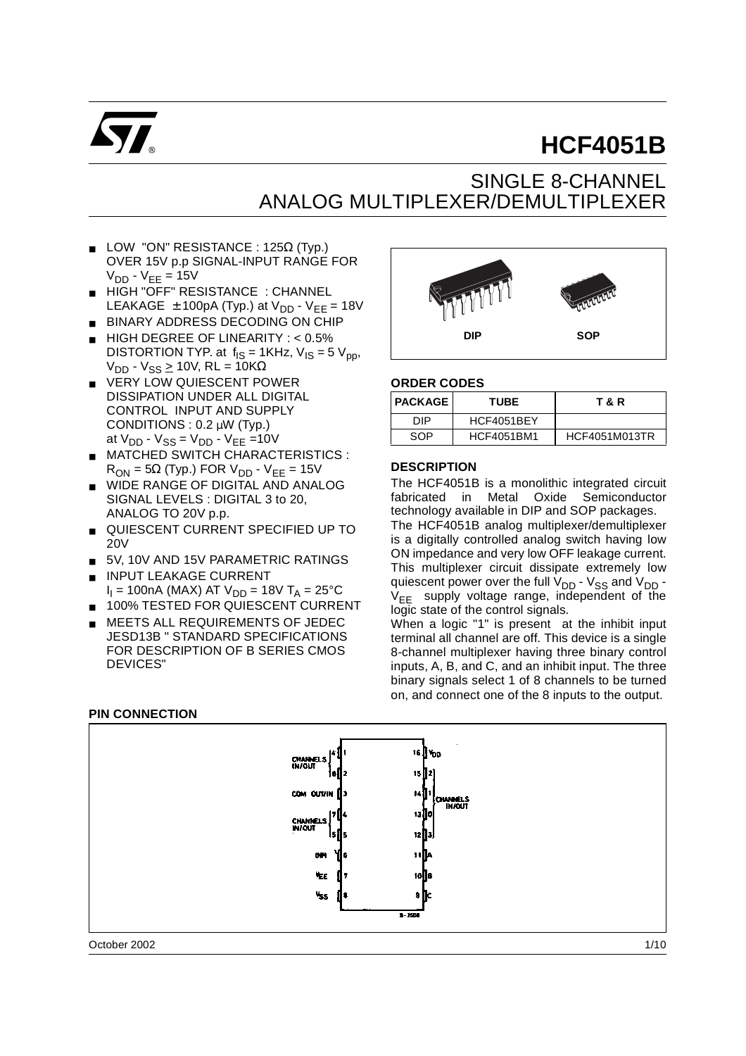

# **HCF4051B**

## SINGLE 8-CHANNEL ANALOG MULTIPLEXER/DEMULTIPLEXER

- **LOW "ON" RESISTANCE : 125** $\Omega$  **(Typ.)** OVER 15V p.p SIGNAL-INPUT RANGE FOR  $V_{DD}$  -  $V_{EE}$  = 15V
- HIGH "OFF" RESISTANCE : CHANNEL LEAKAGE  $\pm$  100pA (Typ.) at  $V_{DD}$  -  $V_{EE}$  = 18V
- BINARY ADDRESS DECODING ON CHIP
- HIGH DEGREE OF LINEARITY : < 0.5% DISTORTION TYP. at  $f_{IS} = 1KHz$ ,  $V_{IS} = 5V_{nn}$ ,  $V_{DD}$  -  $V_{SS} \ge 10V$ , RL = 10KΩ
- VERY LOW QUIESCENT POWER DISSIPATION UNDER ALL DIGITAL CONTROL INPUT AND SUPPLY CONDITIONS : 0.2 µW (Typ.) at  $V_{DD}$  -  $V_{SS}$  =  $V_{DD}$  -  $V_{EE}$  =10V
- **MATCHED SWITCH CHARACTERISTICS:**  $R_{ON}$  = 5 $\Omega$  (Typ.) FOR V<sub>DD</sub> - V<sub>EE</sub> = 15V
- WIDE RANGE OF DIGITAL AND ANALOG SIGNAL LEVELS : DIGITAL 3 to 20, ANALOG TO 20V p.p.
- QUIESCENT CURRENT SPECIFIED UP TO 20V
- 5V, 10V AND 15V PARAMETRIC RATINGS
- **INPUT LEAKAGE CURRENT**  $I_1$  = 100nA (MAX) AT  $V_{DD}$  = 18V T<sub>A</sub> = 25°C
- 100% TESTED FOR QUIESCENT CURRENT
- **MEETS ALL REQUIREMENTS OF JEDEC** JESD13B " STANDARD SPECIFICATIONS FOR DESCRIPTION OF B SERIES CMOS DEVICES"



#### **ORDER CODES**

| <b>I PACKAGE</b> | <b>TUBE</b>       | T & R         |
|------------------|-------------------|---------------|
| חוח              | HCF4051BEY        |               |
| SOP              | <b>HCF4051BM1</b> | HCF4051M013TR |

#### **DESCRIPTION**

The HCF4051B is a monolithic integrated circuit fabricated in Metal Oxide Semiconductor technology available in DIP and SOP packages.

The HCF4051B analog multiplexer/demultiplexer is a digitally controlled analog switch having low ON impedance and very low OFF leakage current. This multiplexer circuit dissipate extremely low quiescent power over the full  $V_{DD}$  -  $V_{SS}$  and  $V_{DD}$  - $V_{FF}$  supply voltage range, independent of the logic state of the control signals.

When a logic "1" is present at the inhibit input terminal all channel are off. This device is a single 8-channel multiplexer having three binary control inputs, A, B, and C, and an inhibit input. The three binary signals select 1 of 8 channels to be turned on, and connect one of the 8 inputs to the output.





October 2002 1/10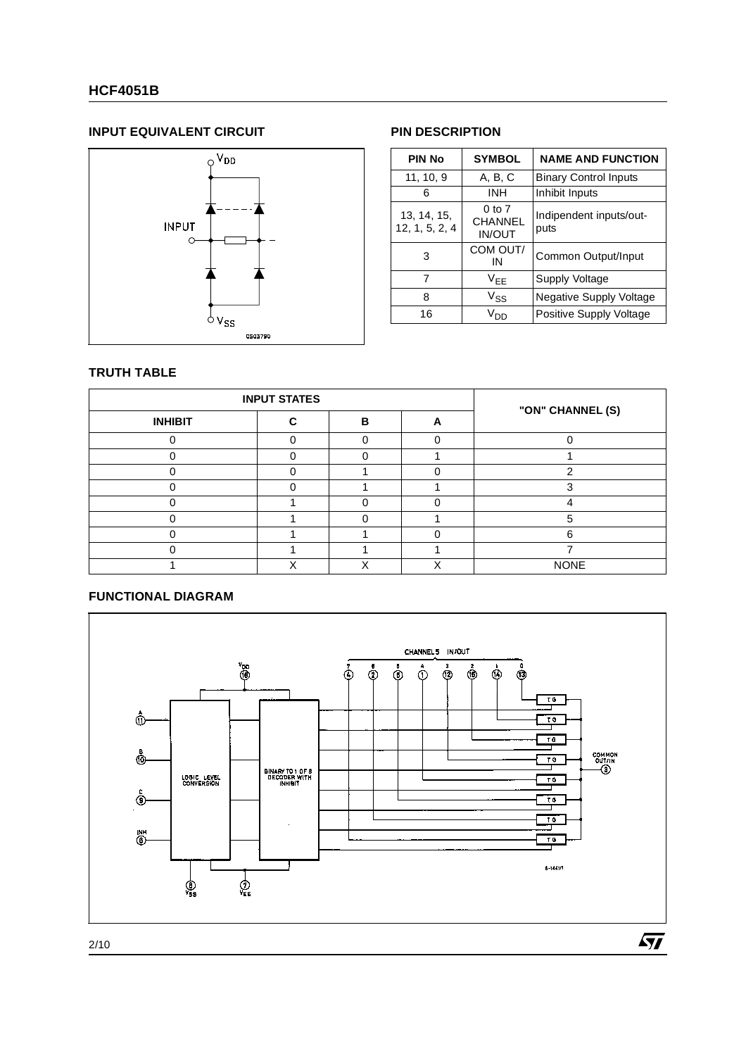### **HCF4051B**

#### **INPUT EQUIVALENT CIRCUIT PIN DESCRIPTION**



| <b>PIN No</b>                 | <b>SYMBOL</b>                      | <b>NAME AND FUNCTION</b>        |
|-------------------------------|------------------------------------|---------------------------------|
| 11, 10, 9                     | A, B, C                            | <b>Binary Control Inputs</b>    |
| 6                             | <b>INH</b>                         | Inhibit Inputs                  |
| 13, 14, 15,<br>12, 1, 5, 2, 4 | 0 to 7<br>CHANNEL<br><b>IN/OUT</b> | Indipendent inputs/out-<br>puts |
| 3                             | COM OUT/<br>ΙN                     | Common Output/Input             |
| 7                             | V <sub>FF</sub>                    | Supply Voltage                  |
| 8                             | $V_{SS}$                           | <b>Negative Supply Voltage</b>  |
| 16                            | Vnn                                | Positive Supply Voltage         |

#### **TRUTH TABLE**

|                | <b>INPUT STATES</b> |   |   |                  |  |
|----------------|---------------------|---|---|------------------|--|
| <b>INHIBIT</b> | c                   | в | А | "ON" CHANNEL (S) |  |
|                |                     |   |   |                  |  |
|                |                     |   |   |                  |  |
|                |                     |   |   |                  |  |
|                |                     |   |   |                  |  |
|                |                     |   |   |                  |  |
|                |                     |   |   | :C               |  |
|                |                     |   |   | ิค               |  |
|                |                     |   |   |                  |  |
|                |                     |   |   | <b>NONE</b>      |  |

#### **FUNCTIONAL DIAGRAM**

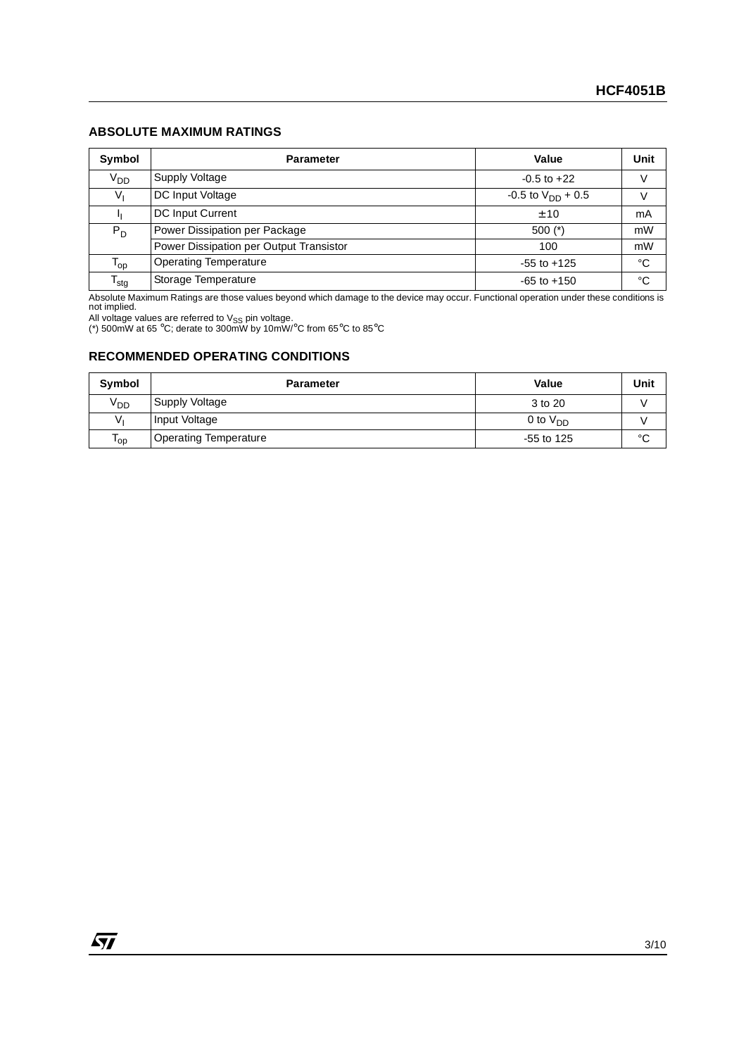#### **ABSOLUTE MAXIMUM RATINGS**

| Symbol                     | <b>Parameter</b>                        | Value                    | Unit        |
|----------------------------|-----------------------------------------|--------------------------|-------------|
| V <sub>DD</sub>            | Supply Voltage                          | $-0.5$ to $+22$          | V           |
| Vı                         | DC Input Voltage                        | $-0.5$ to $V_{DD}$ + 0.5 |             |
|                            | DC Input Current                        | ± 10                     | mA          |
| $P_D$                      | Power Dissipation per Package           | $500$ (*)                | mW          |
|                            | Power Dissipation per Output Transistor | 100                      | mW          |
| $\mathsf{T}_{\mathsf{op}}$ | <b>Operating Temperature</b>            | $-55$ to $+125$          | $^{\circ}C$ |
| $\mathsf{T}_{\text{stg}}$  | Storage Temperature                     | $-65$ to $+150$          | °C          |

Absolute Maximum Ratings are those values beyond which damage to the device may occur. Functional operation under these conditions is not implied.

All voltage values are referred to V<sub>SS</sub> pin voltage.<br>(\*) 500mW at 65 °C; derate to 300mW by 10mW/°C from 65°C to 85°C

#### **RECOMMENDED OPERATING CONDITIONS**

| Symbol          | <b>Parameter</b>             | <b>Value</b>  | Unit        |
|-----------------|------------------------------|---------------|-------------|
| V <sub>DD</sub> | Supply Voltage               | 3 to 20       |             |
|                 | Input Voltage                | 0 to $V_{DD}$ |             |
| 'op             | <b>Operating Temperature</b> | $-55$ to 125  | $\sim$<br>◡ |

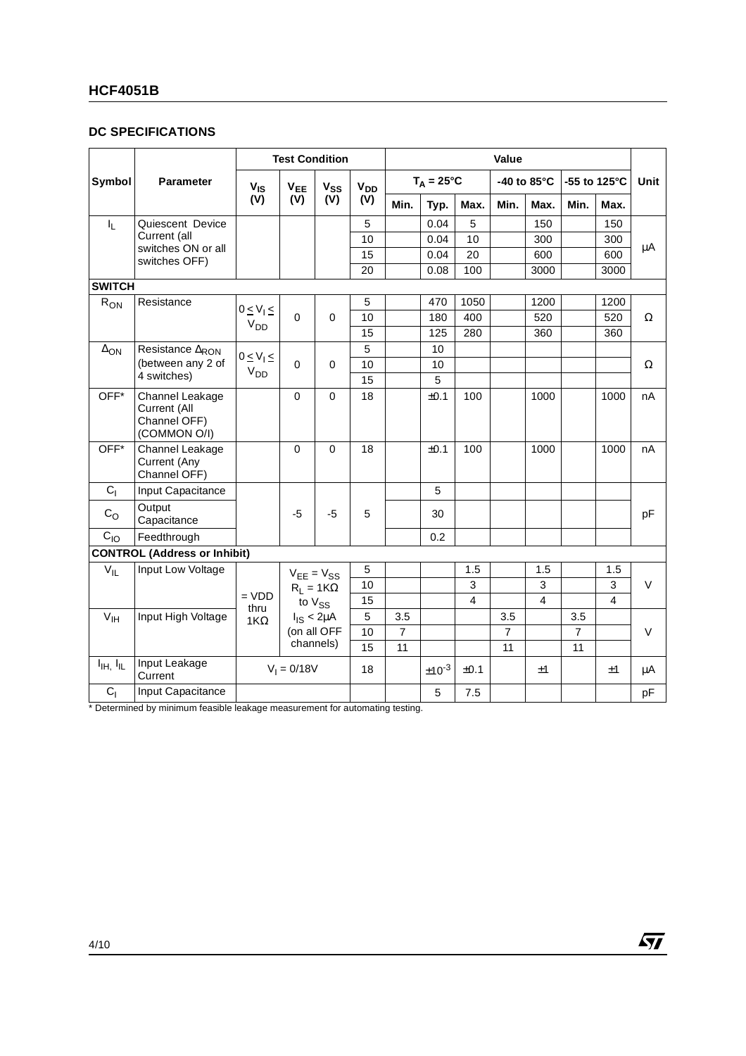### **HCF4051B**

#### **DC SPECIFICATIONS**

|                                   |                                                                 | <b>Test Condition</b> |                   |                  |          | Value          |                     |      |                       |      |                        |      |             |
|-----------------------------------|-----------------------------------------------------------------|-----------------------|-------------------|------------------|----------|----------------|---------------------|------|-----------------------|------|------------------------|------|-------------|
| Symbol                            | <b>Parameter</b>                                                | $V_{\text{IS}}$       | $V_{EE}$          | $V_{SS}$         | $V_{DD}$ |                | $T_A = 25^{\circ}C$ |      | -40 to $85^{\circ}$ C |      | -55 to 125 $\degree$ C |      | <b>Unit</b> |
|                                   |                                                                 | (V)                   | (V)               | (V)              | (V)      | Min.           | Typ.                | Max. | Min.                  | Max. | Min.                   | Max. |             |
| $I_{L}$                           | Quiescent Device                                                |                       |                   |                  | 5        |                | 0.04                | 5    |                       | 150  |                        | 150  |             |
|                                   | Current (all                                                    |                       |                   |                  | 10       |                | 0.04                | 10   |                       | 300  |                        | 300  | μA          |
|                                   | switches ON or all<br>switches OFF)                             |                       |                   |                  | 15       |                | 0.04                | 20   |                       | 600  |                        | 600  |             |
|                                   |                                                                 |                       |                   |                  | 20       |                | 0.08                | 100  |                       | 3000 |                        | 3000 |             |
| <b>SWITCH</b>                     |                                                                 |                       |                   |                  |          |                |                     |      |                       |      |                        |      |             |
| $R_{ON}$                          | Resistance                                                      | $0 \leq V_1 \leq$     |                   |                  | 5        |                | 470                 | 1050 |                       | 1200 |                        | 1200 |             |
|                                   |                                                                 | V <sub>DD</sub>       | $\Omega$          | $\Omega$         | 10       |                | 180                 | 400  |                       | 520  |                        | 520  | Ω           |
|                                   |                                                                 |                       |                   |                  | 15       |                | 125                 | 280  |                       | 360  |                        | 360  |             |
| $\Delta$ <sub>ON</sub>            | Resistance ARON                                                 | $0 \leq V_1 \leq$     |                   |                  | 5        |                | 10                  |      |                       |      |                        |      |             |
|                                   | (between any 2 of                                               | V <sub>DD</sub>       | $\Omega$          | $\Omega$         | 10       |                | 10                  |      |                       |      |                        |      | $\Omega$    |
|                                   | 4 switches)                                                     |                       |                   |                  | 15       |                | 5                   |      |                       |      |                        |      |             |
| OFF*                              | Channel Leakage<br>Current (All<br>Channel OFF)<br>(COMMON O/I) |                       | 0                 | 0                | 18       |                | ±0.1                | 100  |                       | 1000 |                        | 1000 | nA          |
| OFF*                              | Channel Leakage<br>Current (Any<br>Channel OFF)                 |                       | $\Omega$          | $\Omega$         | 18       |                | ±0.1                | 100  |                       | 1000 |                        | 1000 | nA          |
| C <sub>1</sub>                    | Input Capacitance                                               |                       |                   |                  |          |                | 5                   |      |                       |      |                        |      |             |
| $C_{\rm O}$                       | Output<br>Capacitance                                           |                       | -5                | $-5$             | 5        |                | 30                  |      |                       |      |                        |      | pF          |
| $C_{10}$                          | Feedthrough                                                     |                       |                   |                  |          |                | 0.2                 |      |                       |      |                        |      |             |
|                                   | <b>CONTROL (Address or Inhibit)</b>                             |                       |                   |                  |          |                |                     |      |                       |      |                        |      |             |
| $V_{IL}$                          | Input Low Voltage                                               |                       | $V_{EE} = V_{SS}$ |                  | 5        |                |                     | 1.5  |                       | 1.5  |                        | 1.5  |             |
|                                   |                                                                 |                       |                   | $R_1 = 1K\Omega$ | 10       |                |                     | 3    |                       | 3    |                        | 3    | $\vee$      |
|                                   |                                                                 | $= VDD$               | to $V_{SS}$       |                  | 15       |                |                     | 4    |                       | 4    |                        | 4    |             |
| $V_{\text{IH}}$                   | Input High Voltage                                              | thru<br>$1K\Omega$    |                   | $I_{IS}$ < 2µA   | 5        | 3.5            |                     |      | 3.5                   |      | 3.5                    |      |             |
|                                   |                                                                 |                       | (on all OFF       |                  | 10       | $\overline{7}$ |                     |      | $\overline{7}$        |      | $\overline{7}$         |      | $\vee$      |
|                                   |                                                                 |                       | channels)         |                  | 15       | 11             |                     |      | 11                    |      | 11                     |      |             |
| $I_{\text{IH}}$ , $I_{\text{IL}}$ | Input Leakage<br>Current                                        |                       | $V_1 = 0/18V$     |                  | 18       |                | $±10^{-3}$          | ±0.1 |                       | ±1   |                        | ±1   | μA          |
| C <sub>1</sub>                    | Input Capacitance                                               |                       |                   |                  |          |                | 5                   | 7.5  |                       |      |                        |      | pF          |

 $\sqrt{27}$ 

\* Determined by minimum feasible leakage measurement for automating testing.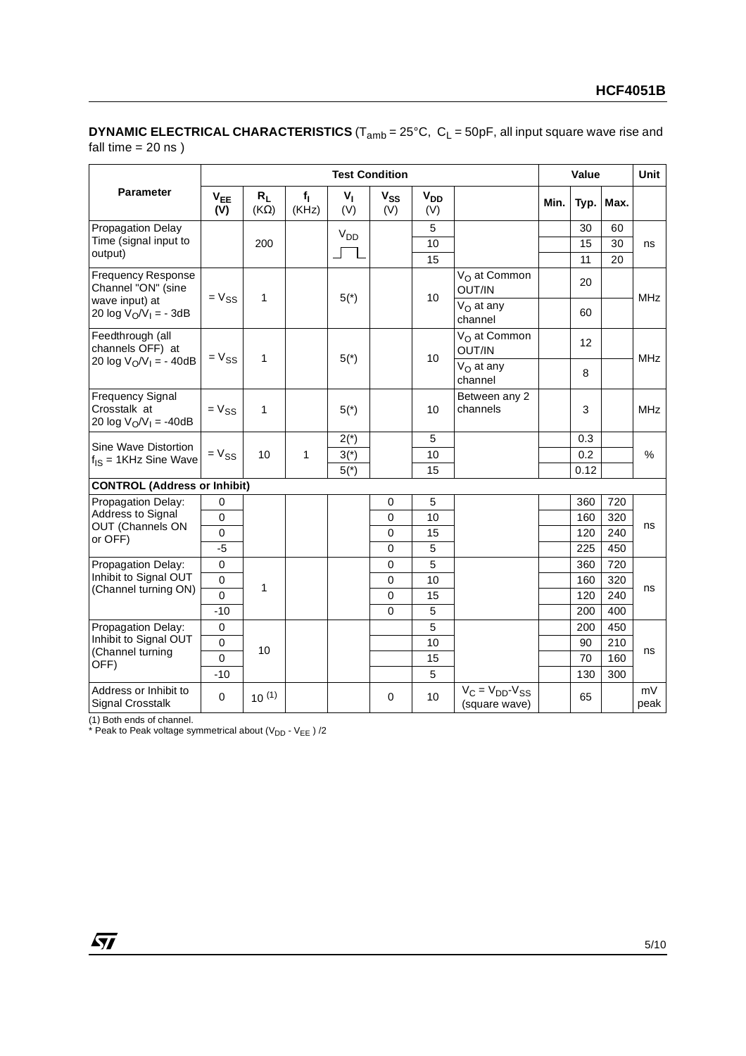#### **DYNAMIC ELECTRICAL CHARACTERISTICS** (T<sub>amb</sub> = 25°C, C<sub>L</sub> = 50pF, all input square wave rise and fall time  $= 20$  ns)

|                                                                     |                 | <b>Test Condition</b> |                |                       |                 |                 |                                          |      |      | Value |            |  |
|---------------------------------------------------------------------|-----------------|-----------------------|----------------|-----------------------|-----------------|-----------------|------------------------------------------|------|------|-------|------------|--|
| Parameter                                                           | $V_{EE}$<br>(V) | $R_L$<br>$(K\Omega)$  | $f_1$<br>(KHz) | $V_{I}$<br>(V)        | $V_{SS}$<br>(V) | $V_{DD}$<br>(V) |                                          | Min. | Typ. | Max.  |            |  |
| Propagation Delay                                                   |                 |                       |                | <b>V<sub>DD</sub></b> |                 | 5               |                                          |      | 30   | 60    |            |  |
| Time (signal input to                                               |                 | 200                   |                |                       |                 | 10              |                                          |      | 15   | 30    | ns         |  |
| output)                                                             |                 |                       |                |                       |                 | 15              |                                          |      | 11   | 20    |            |  |
| <b>Frequency Response</b><br>Channel "ON" (sine                     | $= V_{SS}$      | $\mathbf{1}$          |                |                       |                 | 10              | V <sub>O</sub> at Common<br>OUT/IN       |      | 20   |       | <b>MHz</b> |  |
| wave input) at<br>20 log $V_O/V_I = -3dB$                           |                 |                       |                | $5(*)$                |                 |                 | $V_{\Omega}$ at any<br>channel           |      | 60   |       |            |  |
| Feedthrough (all<br>channels OFF) at                                | $= V_{SS}$      | 1                     |                |                       |                 |                 | V <sub>O</sub> at Common<br>OUT/IN       |      | 12   |       | <b>MHz</b> |  |
| 20 log $V_0/V_1 = -40dB$                                            |                 |                       |                | $5(*)$                |                 | 10              | $V_{O}$ at any<br>channel                |      | 8    |       |            |  |
| <b>Frequency Signal</b><br>Crosstalk at<br>20 log $V_0/V_1 = -40dB$ | $= V_{SS}$      | $\mathbf{1}$          |                | $5(*)$                |                 | 10              | Between any 2<br>channels                |      | 3    |       | <b>MHz</b> |  |
| Sine Wave Distortion                                                |                 |                       |                | $2(*)$                |                 | 5               |                                          |      | 0.3  |       |            |  |
| $f_{\text{IS}} = 1$ KHz Sine Wave                                   | $= V_{SS}$      | 10                    | 1              | $3(*)$                |                 | 10              |                                          |      | 0.2  |       | $\%$       |  |
|                                                                     |                 |                       |                | $5(*)$                |                 | 15              |                                          |      | 0.12 |       |            |  |
| <b>CONTROL (Address or Inhibit)</b>                                 |                 |                       |                |                       |                 |                 |                                          |      |      |       |            |  |
| Propagation Delay:                                                  | $\mathbf 0$     |                       |                |                       | 0               | 5               |                                          |      | 360  | 720   |            |  |
| Address to Signal<br>OUT (Channels ON                               | $\mathbf 0$     |                       |                |                       | 0               | 10              |                                          |      | 160  | 320   | ns         |  |
| or OFF)                                                             | $\Omega$        |                       |                |                       | $\Omega$        | 15              |                                          |      | 120  | 240   |            |  |
|                                                                     | $-5$            |                       |                |                       | 0               | 5               |                                          |      | 225  | 450   |            |  |
| Propagation Delay:                                                  | $\mathbf 0$     |                       |                |                       | 0               | 5               |                                          |      | 360  | 720   |            |  |
| Inhibit to Signal OUT<br>(Channel turning ON)                       | $\Omega$        | 1                     |                |                       | 0               | 10              |                                          |      | 160  | 320   | ns         |  |
|                                                                     | $\overline{0}$  |                       |                |                       | 0               | 15              |                                          |      | 120  | 240   |            |  |
|                                                                     | $-10$           |                       |                |                       | 0               | 5               |                                          |      | 200  | 400   |            |  |
| Propagation Delay:                                                  | $\mathbf 0$     |                       |                |                       |                 | 5               |                                          |      | 200  | 450   |            |  |
| Inhibit to Signal OUT<br>(Channel turning                           | $\mathbf 0$     | 10                    |                |                       |                 | 10              |                                          |      | 90   | 210   | ns         |  |
| OFF)                                                                | $\Omega$        |                       |                |                       |                 | 15              |                                          |      | 70   | 160   |            |  |
|                                                                     | $-10$           |                       |                |                       |                 | 5               |                                          |      | 130  | 300   |            |  |
| Address or Inhibit to<br><b>Signal Crosstalk</b>                    | $\mathbf 0$     | $10^{(1)}$            |                |                       | 0               | 10              | $V_C = V_{DD} - V_{SS}$<br>(square wave) |      | 65   |       | mV<br>peak |  |

(1) Both ends of channel.

\* Peak to Peak voltage symmetrical about (V<sub>DD</sub> - V<sub>EE</sub>)/2

 $\sqrt{M}$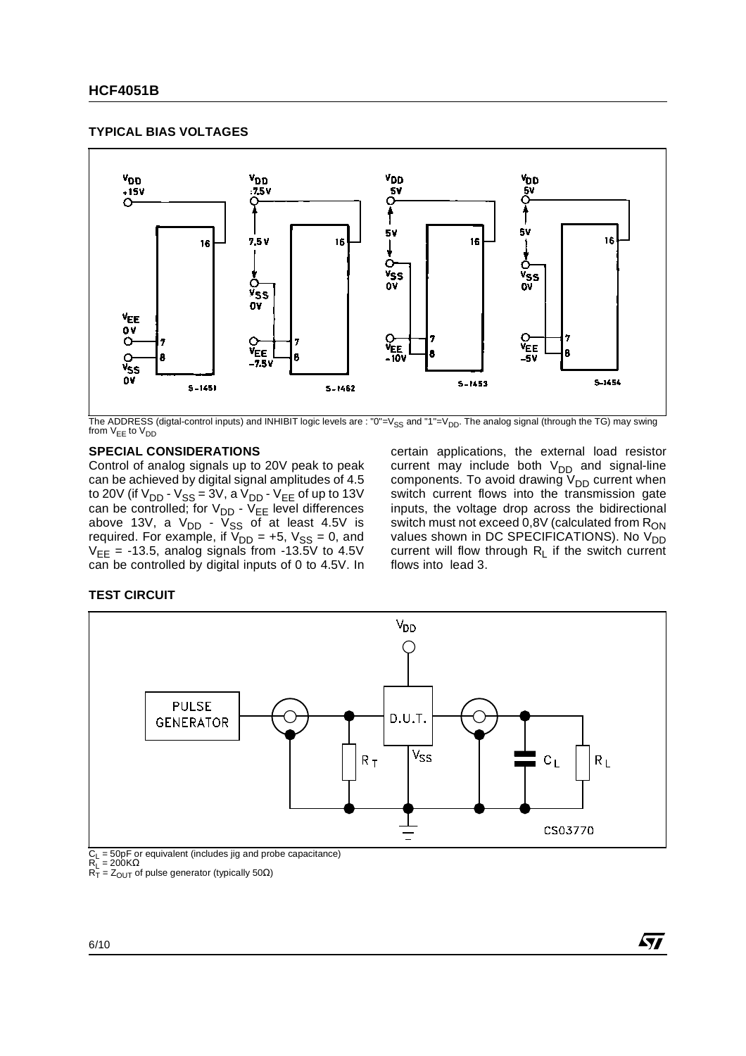#### **TYPICAL BIAS VOLTAGES**



The ADDRESS (digtal-control inputs) and INHIBIT logic levels are : "0"=V<sub>SS</sub> and "1"=V<sub>DD</sub>. The analog signal (through the TG) may swing from  $V_{EE}$  to  $V_{DD}$ 

#### **SPECIAL CONSIDERATIONS**

Control of analog signals up to 20V peak to peak can be achieved by digital signal amplitudes of 4.5 to 20V (if V<sub>DD</sub> - V<sub>SS</sub> = 3V, a V<sub>DD</sub> - V<sub>EE</sub> of up to 13V can be controlled; for  $\vee_{\sf DD}$  -  $\vee_{\sf EE}$  level differences above 13V, a V<sub>DD</sub> - V<sub>SS</sub> of at least 4.5V is required. For example, if  $V_{DD}$  = +5,  $V_{SS}$  = 0, and  $V_{EE}$  = -13.5, analog signals from -13.5V to 4.5V can be controlled by digital inputs of 0 to 4.5V. In

certain applications, the external load resistor current may include both  $\rm V_{DD}$  and signal-line components. To avoid drawing  $\mathsf{V}_{\mathsf{DD}}$  current when switch current flows into the transmission gate inputs, the voltage drop across the bidirectional switch must not exceed  $0,8V$  (calculated from  $R_{ON}$ values shown in DC SPECIFICATIONS). No  $V_{DD}^{0.0}$ current will flow through  $R_L$  if the switch current flows into lead 3.

#### **TEST CIRCUIT**



 $C_L$  = 50pF or equivalent (includes jig and probe capacitance)<br> $R_L$  = 200KΩ

 $R_T = Z_{\text{OUT}}$  of pulse generator (typically 50 $\Omega$ )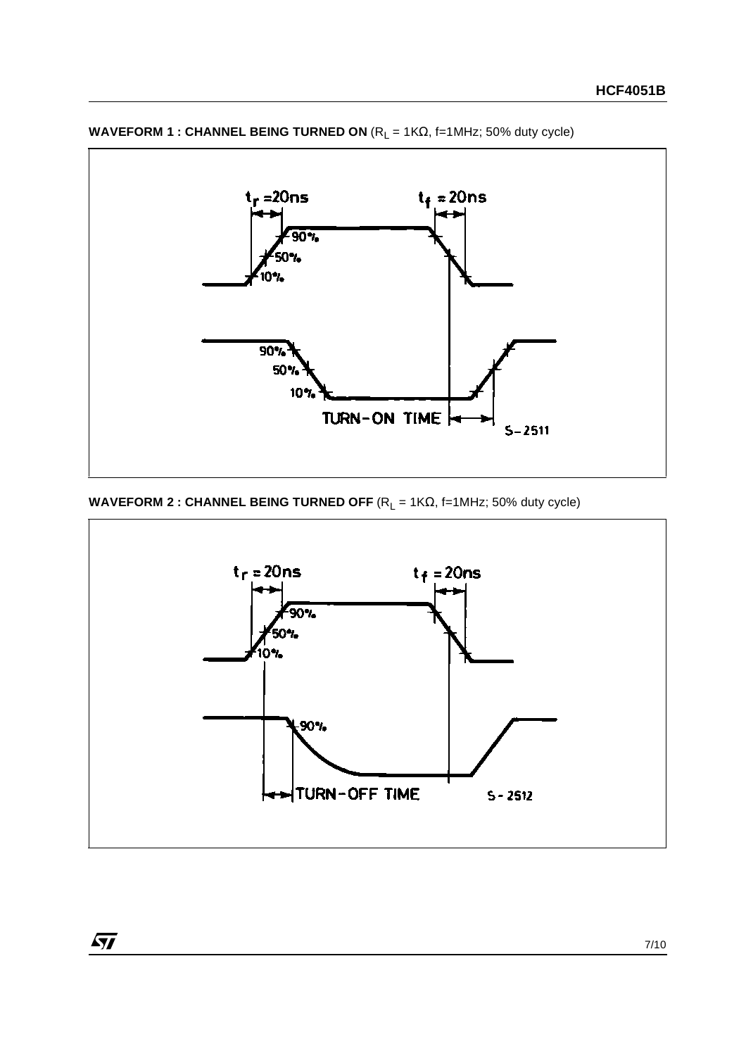

**WAVEFORM 1 : CHANNEL BEING TURNED ON** (R<sub>L</sub> = 1KΩ, f=1MHz; 50% duty cycle)

**WAVEFORM 2 : CHANNEL BEING TURNED OFF**  $(R_L = 1K\Omega, f=1MHz; 50\%$  duty cycle)

 $\sqrt{5}$ 

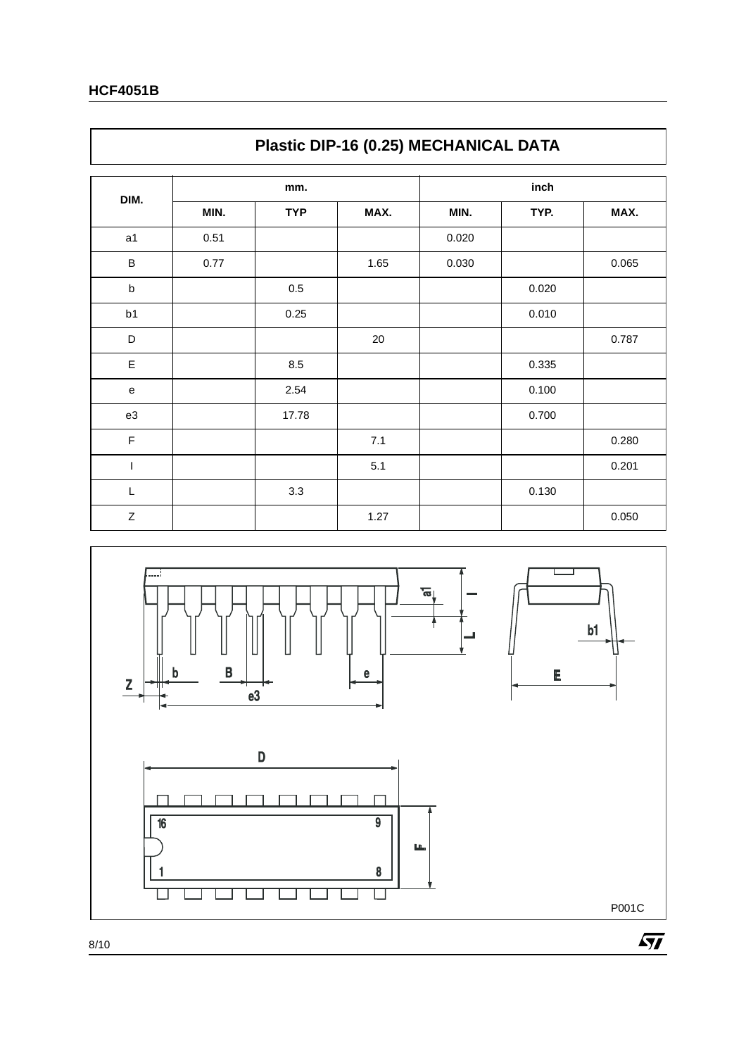$\mathsf{r}$ 

|                | Plastic DIP-16 (0.25) MECHANICAL DATA |            |      |       |       |       |  |
|----------------|---------------------------------------|------------|------|-------|-------|-------|--|
|                |                                       | mm.        |      |       |       |       |  |
| DIM.           | MIN.                                  | <b>TYP</b> | MAX. | MIN.  | TYP.  | MAX.  |  |
| a1             | 0.51                                  |            |      | 0.020 |       |       |  |
| В              | 0.77                                  |            | 1.65 | 0.030 |       | 0.065 |  |
| $\sf b$        |                                       | 0.5        |      |       | 0.020 |       |  |
| b <sub>1</sub> |                                       | 0.25       |      |       | 0.010 |       |  |
| D              |                                       |            | 20   |       |       | 0.787 |  |
| E              |                                       | 8.5        |      |       | 0.335 |       |  |
| e              |                                       | 2.54       |      |       | 0.100 |       |  |
| e3             |                                       | 17.78      |      |       | 0.700 |       |  |
| F              |                                       |            | 7.1  |       |       | 0.280 |  |
| I              |                                       |            | 5.1  |       |       | 0.201 |  |
| L              |                                       | 3.3        |      |       | 0.130 |       |  |
| Ζ              |                                       |            | 1.27 |       |       | 0.050 |  |

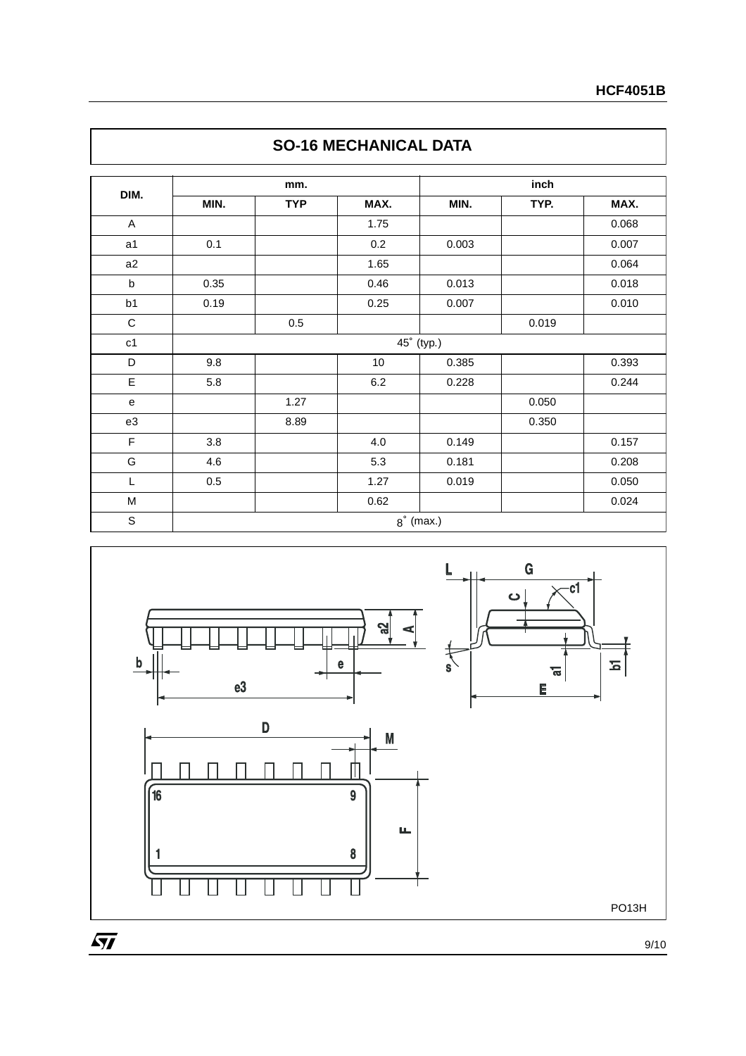| DIM.          |      | mm.        |       | inch       |       |       |  |  |
|---------------|------|------------|-------|------------|-------|-------|--|--|
|               | MIN. | <b>TYP</b> | MAX.  | MIN.       | TYP.  | MAX.  |  |  |
| A             |      |            | 1.75  |            |       | 0.068 |  |  |
| a1            | 0.1  |            | 0.2   | 0.003      |       | 0.007 |  |  |
| a2            |      |            | 1.65  |            |       | 0.064 |  |  |
| $\sf b$       | 0.35 |            | 0.46  | 0.013      |       | 0.018 |  |  |
| b1            | 0.19 |            | 0.25  | 0.007      |       | 0.010 |  |  |
| $\mathbf C$   |      | 0.5        |       |            | 0.019 |       |  |  |
| c1            |      |            |       | 45° (typ.) |       |       |  |  |
| D             | 9.8  |            | 10    | 0.385      |       | 0.393 |  |  |
| E             | 5.8  |            | 6.2   | 0.228      |       | 0.244 |  |  |
| ${\bf e}$     |      | 1.27       |       |            | 0.050 |       |  |  |
| e3            |      | 8.89       |       |            | 0.350 |       |  |  |
| F             | 3.8  |            | $4.0$ | 0.149      |       | 0.157 |  |  |
| ${\mathsf G}$ | 4.6  |            | 5.3   | 0.181      |       | 0.208 |  |  |
| L             | 0.5  |            | 1.27  | 0.019      |       | 0.050 |  |  |
| M             |      |            | 0.62  |            |       | 0.024 |  |  |